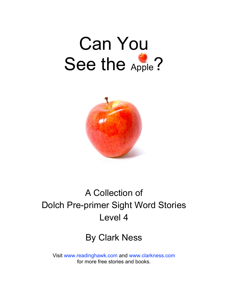# Can You See the Apple?



### A Collection of Dolch Pre-primer Sight Word Stories Level 4

#### By Clark Ness

Visit [www.readinghawk.com](http://www.readinghawk.com) and [www.clarkness.com](http://www.clarkness.com) for more free stories and books.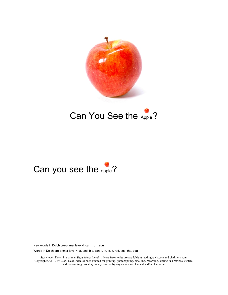

#### Can You See the Apple?

#### Can you see the apple?

New words in Dolch pre-primer level 4: can, in, it, you

Words in Dolch pre-primer level 4: a, and, big, can, I, in, is, it, red, see, the, you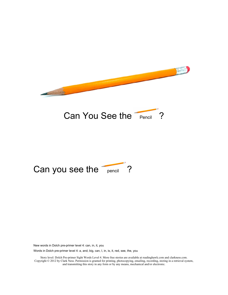



## Can you see the pencil ?

New words in Dolch pre-primer level 4: can, in, it, you

Words in Dolch pre-primer level 4: a, and, big, can, I, in, is, it, red, see, the, you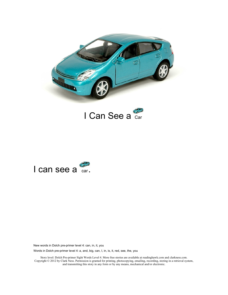





Words in Dolch pre-primer level 4: a, and, big, can, I, in, is, it, red, see, the, you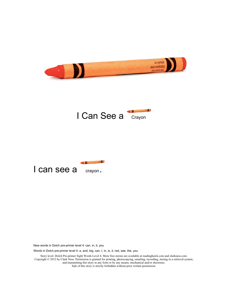





Words in Dolch pre-primer level 4: a, and, big, can, I, in, is, it, red, see, the, you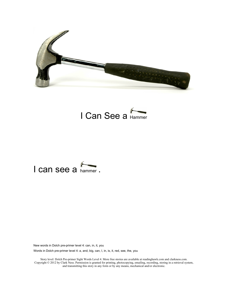





Words in Dolch pre-primer level 4: a, and, big, can, I, in, is, it, red, see, the, you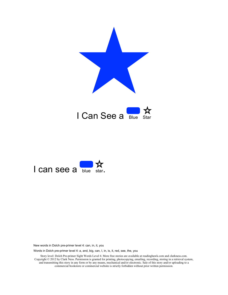



Words in Dolch pre-primer level 4: a, and, big, can, I, in, is, it, red, see, the, you

Story level: Dolch Pre-primer Sight Words Level 4. More free stories are available at readinghawk.com and clarkness.com. Copyright © 2012 by Clark Ness. Permission is granted for printing, photocopying, emailing, recording, storing in a retrieval system, and transmitting this story in any form or by any means, mechanical and/or electronic. Sale of this story and/or uploading to a commercial bookstore or commercial website is strictly forbidden without prior written permission.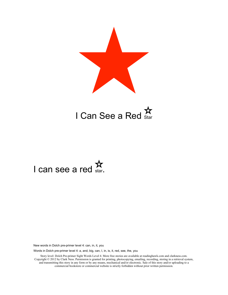



## I can see a red  $\stackrel{\textsf{M}}{\textsf{star}}$

New words in Dolch pre-primer level 4: can, in, it, you

Words in Dolch pre-primer level 4: a, and, big, can, I, in, is, it, red, see, the, you

Story level: Dolch Pre-primer Sight Words Level 4. More free stories are available at readinghawk.com and clarkness.com. Copyright © 2012 by Clark Ness. Permission is granted for printing, photocopying, emailing, recording, storing in a retrieval system, and transmitting this story in any form or by any means, mechanical and/or electronic. Sale of this story and/or uploading to a commercial bookstore or commercial website is strictly forbidden without prior written permission.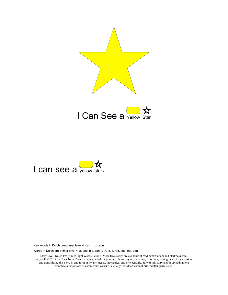





Words in Dolch pre-primer level 4: a, and, big, can, I, in, is, it, red, see, the, you

Story level: Dolch Pre-primer Sight Words Level 4. More free stories are available at readinghawk.com and clarkness.com. Copyright © 2012 by Clark Ness. Permission is granted for printing, photocopying, emailing, recording, storing in a retrieval system, and transmitting this story in any form or by any means, mechanical and/or electronic. Sale of this story and/or uploading to a commercial bookstore or commercial website is strictly forbidden without prior written permission.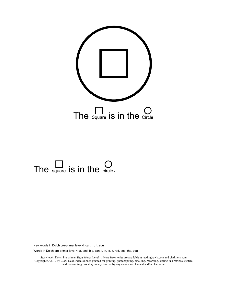

## The square is in the circle.

New words in Dolch pre-primer level 4: can, in, it, you

Words in Dolch pre-primer level 4: a, and, big, can, I, in, is, it, red, see, the, you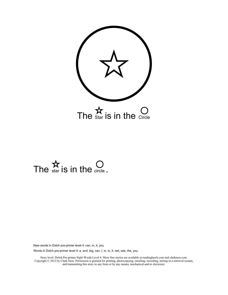

# The  $\sum_{\text{star}}$  is in the circle.

New words in Dolch pre-primer level 4: can, in, it, you

Words in Dolch pre-primer level 4: a, and, big, can, I, in, is, it, red, see, the, you